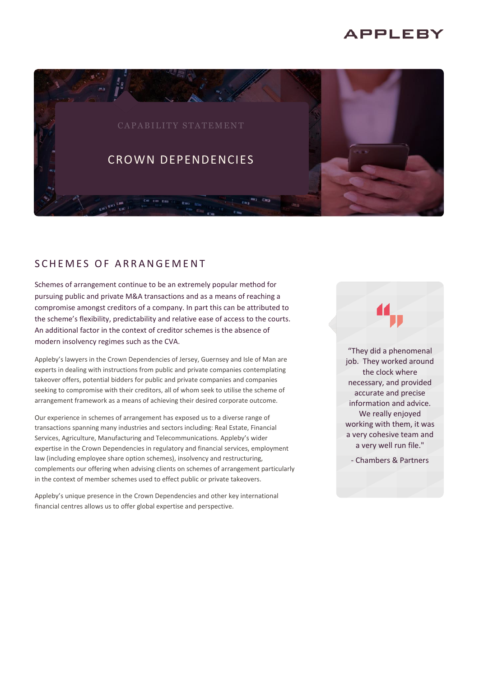# **APPLEBY**



## SCHEMES OF ARRANGEMENT

Schemes of arrangement continue to be an extremely popular method for pursuing public and private M&A transactions and as a means of reaching a compromise amongst creditors of a company. In part this can be attributed to the scheme's flexibility, predictability and relative ease of access to the courts. An additional factor in the context of creditor schemes is the absence of modern insolvency regimes such as the CVA.

Appleby's lawyers in the Crown Dependencies of Jersey, Guernsey and Isle of Man are experts in dealing with instructions from public and private companies contemplating takeover offers, potential bidders for public and private companies and companies seeking to compromise with their creditors, all of whom seek to utilise the scheme of arrangement framework as a means of achieving their desired corporate outcome.

Our experience in schemes of arrangement has exposed us to a diverse range of transactions spanning many industries and sectors including: Real Estate, Financial Services, Agriculture, Manufacturing and Telecommunications. Appleby's wider expertise in the Crown Dependencies in regulatory and financial services, employment law (including employee share option schemes), insolvency and restructuring, complements our offering when advising clients on schemes of arrangement particularly in the context of member schemes used to effect public or private takeovers.

Appleby's unique presence in the Crown Dependencies and other key international financial centres allows us to offer global expertise and perspective.

"They did a phenomenal job. They worked around the clock where necessary, and provided accurate and precise information and advice. We really enjoyed working with them, it was a very cohesive team and a very well run file."

- Chambers & Partners